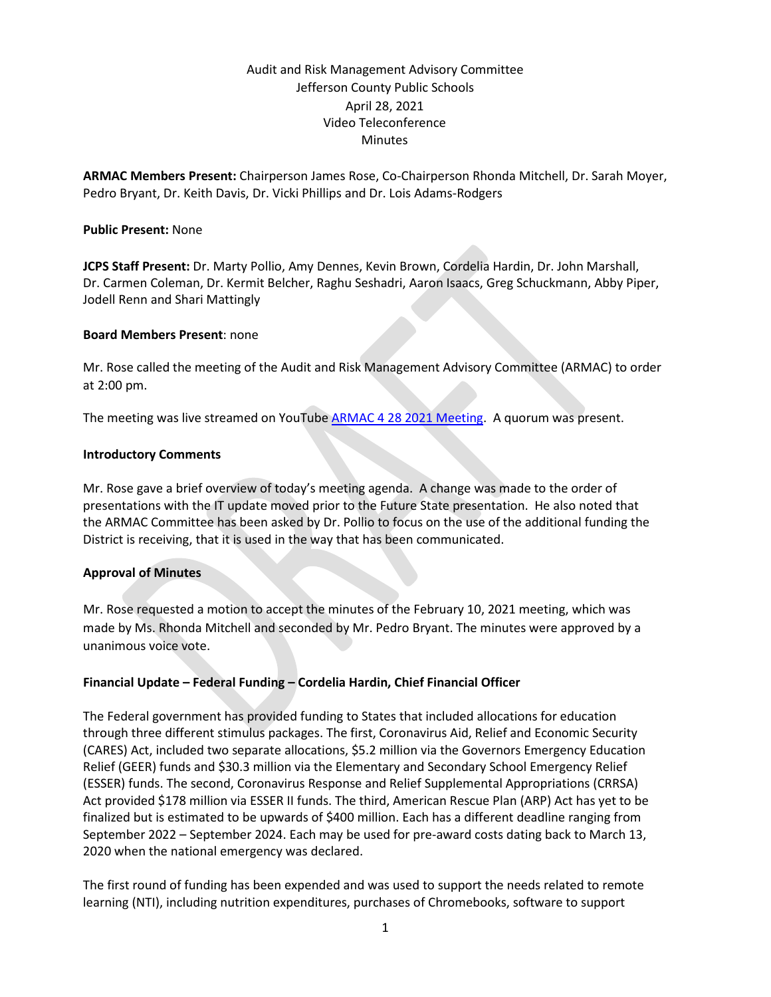# Audit and Risk Management Advisory Committee Jefferson County Public Schools April 28, 2021 Video Teleconference **Minutes**

**ARMAC Members Present:** Chairperson James Rose, Co-Chairperson Rhonda Mitchell, Dr. Sarah Moyer, Pedro Bryant, Dr. Keith Davis, Dr. Vicki Phillips and Dr. Lois Adams-Rodgers

### **Public Present:** None

**JCPS Staff Present:** Dr. Marty Pollio, Amy Dennes, Kevin Brown, Cordelia Hardin, Dr. John Marshall, Dr. Carmen Coleman, Dr. Kermit Belcher, Raghu Seshadri, Aaron Isaacs, Greg Schuckmann, Abby Piper, Jodell Renn and Shari Mattingly

#### **Board Members Present**: none

Mr. Rose called the meeting of the Audit and Risk Management Advisory Committee (ARMAC) to order at 2:00 pm.

The meeting was live streamed on YouTube [ARMAC 4 28 2021 Meeting.](https://www.youtube.com/watch?v=2T4dn1W8y1E) A quorum was present.

#### **Introductory Comments**

Mr. Rose gave a brief overview of today's meeting agenda. A change was made to the order of presentations with the IT update moved prior to the Future State presentation. He also noted that the ARMAC Committee has been asked by Dr. Pollio to focus on the use of the additional funding the District is receiving, that it is used in the way that has been communicated.

### **Approval of Minutes**

Mr. Rose requested a motion to accept the minutes of the February 10, 2021 meeting, which was made by Ms. Rhonda Mitchell and seconded by Mr. Pedro Bryant. The minutes were approved by a unanimous voice vote.

### **Financial Update – Federal Funding – Cordelia Hardin, Chief Financial Officer**

The Federal government has provided funding to States that included allocations for education through three different stimulus packages. The first, Coronavirus Aid, Relief and Economic Security (CARES) Act, included two separate allocations, \$5.2 million via the Governors Emergency Education Relief (GEER) funds and \$30.3 million via the Elementary and Secondary School Emergency Relief (ESSER) funds. The second, Coronavirus Response and Relief Supplemental Appropriations (CRRSA) Act provided \$178 million via ESSER II funds. The third, American Rescue Plan (ARP) Act has yet to be finalized but is estimated to be upwards of \$400 million. Each has a different deadline ranging from September 2022 – September 2024. Each may be used for pre-award costs dating back to March 13, 2020 when the national emergency was declared.

The first round of funding has been expended and was used to support the needs related to remote learning (NTI), including nutrition expenditures, purchases of Chromebooks, software to support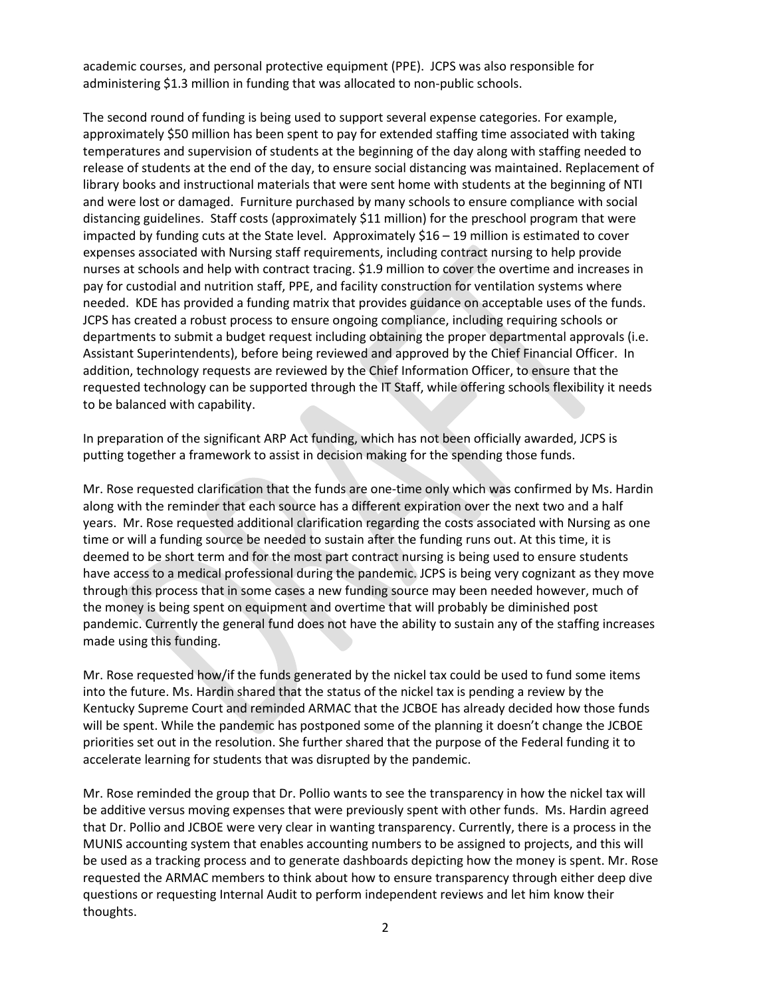academic courses, and personal protective equipment (PPE). JCPS was also responsible for administering \$1.3 million in funding that was allocated to non-public schools.

The second round of funding is being used to support several expense categories. For example, approximately \$50 million has been spent to pay for extended staffing time associated with taking temperatures and supervision of students at the beginning of the day along with staffing needed to release of students at the end of the day, to ensure social distancing was maintained. Replacement of library books and instructional materials that were sent home with students at the beginning of NTI and were lost or damaged. Furniture purchased by many schools to ensure compliance with social distancing guidelines. Staff costs (approximately \$11 million) for the preschool program that were impacted by funding cuts at the State level. Approximately \$16 – 19 million is estimated to cover expenses associated with Nursing staff requirements, including contract nursing to help provide nurses at schools and help with contract tracing. \$1.9 million to cover the overtime and increases in pay for custodial and nutrition staff, PPE, and facility construction for ventilation systems where needed. KDE has provided a funding matrix that provides guidance on acceptable uses of the funds. JCPS has created a robust process to ensure ongoing compliance, including requiring schools or departments to submit a budget request including obtaining the proper departmental approvals (i.e. Assistant Superintendents), before being reviewed and approved by the Chief Financial Officer. In addition, technology requests are reviewed by the Chief Information Officer, to ensure that the requested technology can be supported through the IT Staff, while offering schools flexibility it needs to be balanced with capability.

In preparation of the significant ARP Act funding, which has not been officially awarded, JCPS is putting together a framework to assist in decision making for the spending those funds.

Mr. Rose requested clarification that the funds are one-time only which was confirmed by Ms. Hardin along with the reminder that each source has a different expiration over the next two and a half years. Mr. Rose requested additional clarification regarding the costs associated with Nursing as one time or will a funding source be needed to sustain after the funding runs out. At this time, it is deemed to be short term and for the most part contract nursing is being used to ensure students have access to a medical professional during the pandemic. JCPS is being very cognizant as they move through this process that in some cases a new funding source may been needed however, much of the money is being spent on equipment and overtime that will probably be diminished post pandemic. Currently the general fund does not have the ability to sustain any of the staffing increases made using this funding.

Mr. Rose requested how/if the funds generated by the nickel tax could be used to fund some items into the future. Ms. Hardin shared that the status of the nickel tax is pending a review by the Kentucky Supreme Court and reminded ARMAC that the JCBOE has already decided how those funds will be spent. While the pandemic has postponed some of the planning it doesn't change the JCBOE priorities set out in the resolution. She further shared that the purpose of the Federal funding it to accelerate learning for students that was disrupted by the pandemic.

Mr. Rose reminded the group that Dr. Pollio wants to see the transparency in how the nickel tax will be additive versus moving expenses that were previously spent with other funds. Ms. Hardin agreed that Dr. Pollio and JCBOE were very clear in wanting transparency. Currently, there is a process in the MUNIS accounting system that enables accounting numbers to be assigned to projects, and this will be used as a tracking process and to generate dashboards depicting how the money is spent. Mr. Rose requested the ARMAC members to think about how to ensure transparency through either deep dive questions or requesting Internal Audit to perform independent reviews and let him know their thoughts.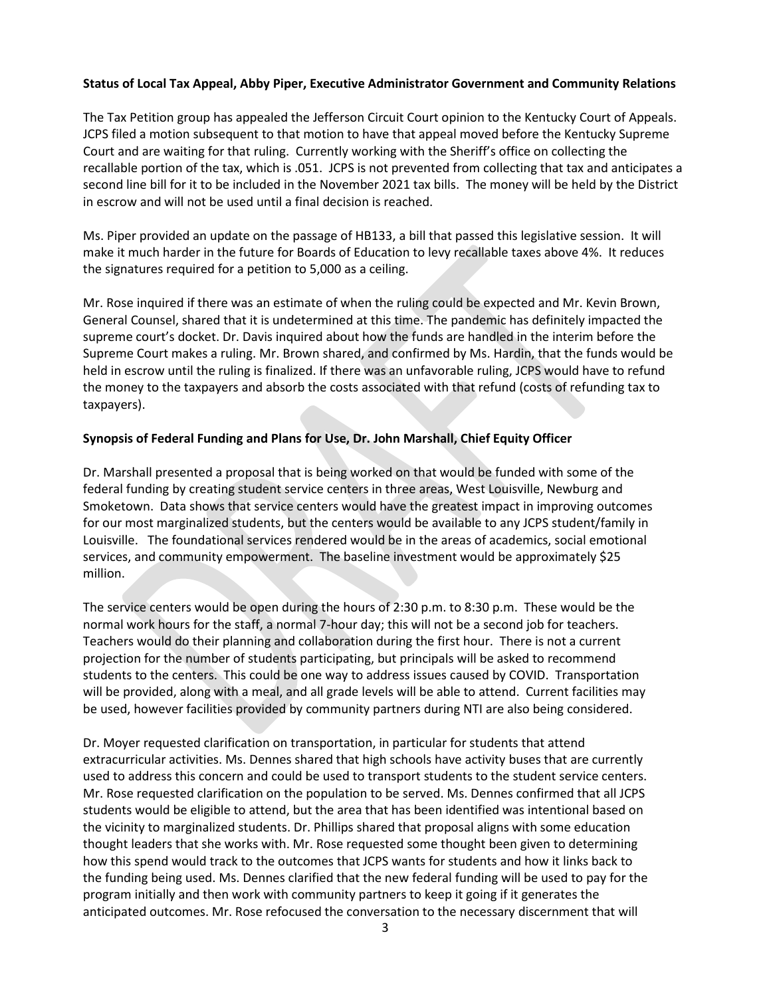# **Status of Local Tax Appeal, Abby Piper, Executive Administrator Government and Community Relations**

The Tax Petition group has appealed the Jefferson Circuit Court opinion to the Kentucky Court of Appeals. JCPS filed a motion subsequent to that motion to have that appeal moved before the Kentucky Supreme Court and are waiting for that ruling. Currently working with the Sheriff's office on collecting the recallable portion of the tax, which is .051. JCPS is not prevented from collecting that tax and anticipates a second line bill for it to be included in the November 2021 tax bills. The money will be held by the District in escrow and will not be used until a final decision is reached.

Ms. Piper provided an update on the passage of HB133, a bill that passed this legislative session. It will make it much harder in the future for Boards of Education to levy recallable taxes above 4%. It reduces the signatures required for a petition to 5,000 as a ceiling.

Mr. Rose inquired if there was an estimate of when the ruling could be expected and Mr. Kevin Brown, General Counsel, shared that it is undetermined at this time. The pandemic has definitely impacted the supreme court's docket. Dr. Davis inquired about how the funds are handled in the interim before the Supreme Court makes a ruling. Mr. Brown shared, and confirmed by Ms. Hardin, that the funds would be held in escrow until the ruling is finalized. If there was an unfavorable ruling, JCPS would have to refund the money to the taxpayers and absorb the costs associated with that refund (costs of refunding tax to taxpayers).

# **Synopsis of Federal Funding and Plans for Use, Dr. John Marshall, Chief Equity Officer**

Dr. Marshall presented a proposal that is being worked on that would be funded with some of the federal funding by creating student service centers in three areas, West Louisville, Newburg and Smoketown. Data shows that service centers would have the greatest impact in improving outcomes for our most marginalized students, but the centers would be available to any JCPS student/family in Louisville. The foundational services rendered would be in the areas of academics, social emotional services, and community empowerment. The baseline investment would be approximately \$25 million.

The service centers would be open during the hours of 2:30 p.m. to 8:30 p.m. These would be the normal work hours for the staff, a normal 7-hour day; this will not be a second job for teachers. Teachers would do their planning and collaboration during the first hour. There is not a current projection for the number of students participating, but principals will be asked to recommend students to the centers. This could be one way to address issues caused by COVID. Transportation will be provided, along with a meal, and all grade levels will be able to attend. Current facilities may be used, however facilities provided by community partners during NTI are also being considered.

Dr. Moyer requested clarification on transportation, in particular for students that attend extracurricular activities. Ms. Dennes shared that high schools have activity buses that are currently used to address this concern and could be used to transport students to the student service centers. Mr. Rose requested clarification on the population to be served. Ms. Dennes confirmed that all JCPS students would be eligible to attend, but the area that has been identified was intentional based on the vicinity to marginalized students. Dr. Phillips shared that proposal aligns with some education thought leaders that she works with. Mr. Rose requested some thought been given to determining how this spend would track to the outcomes that JCPS wants for students and how it links back to the funding being used. Ms. Dennes clarified that the new federal funding will be used to pay for the program initially and then work with community partners to keep it going if it generates the anticipated outcomes. Mr. Rose refocused the conversation to the necessary discernment that will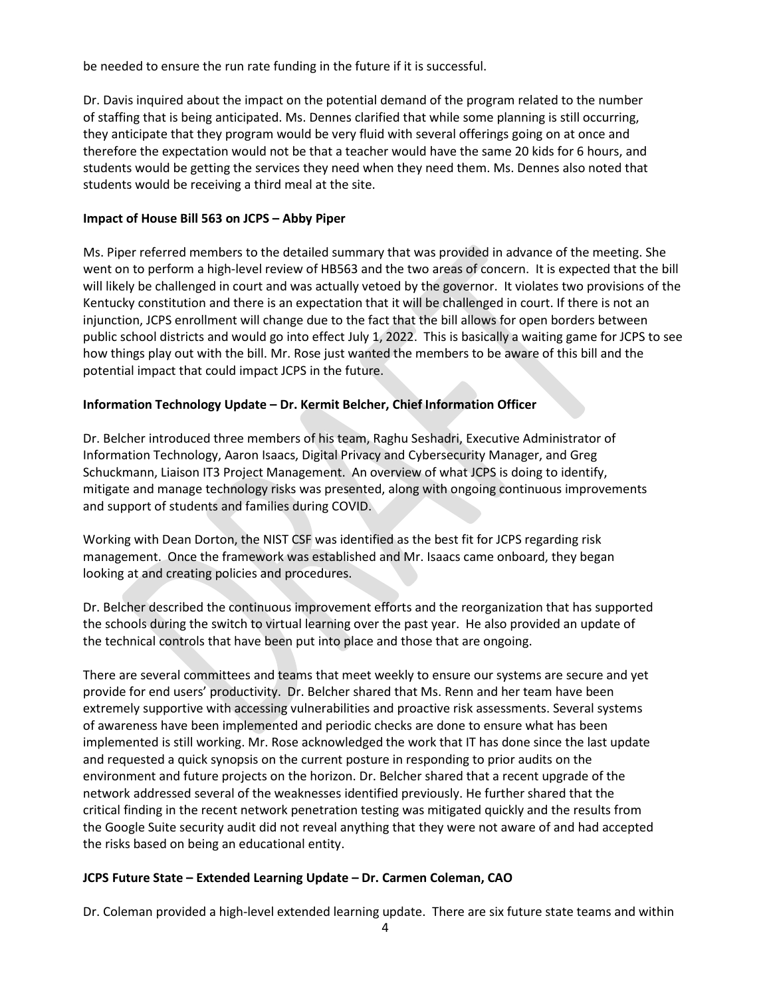be needed to ensure the run rate funding in the future if it is successful.

Dr. Davis inquired about the impact on the potential demand of the program related to the number of staffing that is being anticipated. Ms. Dennes clarified that while some planning is still occurring, they anticipate that they program would be very fluid with several offerings going on at once and therefore the expectation would not be that a teacher would have the same 20 kids for 6 hours, and students would be getting the services they need when they need them. Ms. Dennes also noted that students would be receiving a third meal at the site.

# **Impact of House Bill 563 on JCPS – Abby Piper**

Ms. Piper referred members to the detailed summary that was provided in advance of the meeting. She went on to perform a high-level review of HB563 and the two areas of concern. It is expected that the bill will likely be challenged in court and was actually vetoed by the governor. It violates two provisions of the Kentucky constitution and there is an expectation that it will be challenged in court. If there is not an injunction, JCPS enrollment will change due to the fact that the bill allows for open borders between public school districts and would go into effect July 1, 2022. This is basically a waiting game for JCPS to see how things play out with the bill. Mr. Rose just wanted the members to be aware of this bill and the potential impact that could impact JCPS in the future.

# **Information Technology Update – Dr. Kermit Belcher, Chief Information Officer**

Dr. Belcher introduced three members of his team, Raghu Seshadri, Executive Administrator of Information Technology, Aaron Isaacs, Digital Privacy and Cybersecurity Manager, and Greg Schuckmann, Liaison IT3 Project Management. An overview of what JCPS is doing to identify, mitigate and manage technology risks was presented, along with ongoing continuous improvements and support of students and families during COVID.

Working with Dean Dorton, the NIST CSF was identified as the best fit for JCPS regarding risk management. Once the framework was established and Mr. Isaacs came onboard, they began looking at and creating policies and procedures.

Dr. Belcher described the continuous improvement efforts and the reorganization that has supported the schools during the switch to virtual learning over the past year. He also provided an update of the technical controls that have been put into place and those that are ongoing.

There are several committees and teams that meet weekly to ensure our systems are secure and yet provide for end users' productivity. Dr. Belcher shared that Ms. Renn and her team have been extremely supportive with accessing vulnerabilities and proactive risk assessments. Several systems of awareness have been implemented and periodic checks are done to ensure what has been implemented is still working. Mr. Rose acknowledged the work that IT has done since the last update and requested a quick synopsis on the current posture in responding to prior audits on the environment and future projects on the horizon. Dr. Belcher shared that a recent upgrade of the network addressed several of the weaknesses identified previously. He further shared that the critical finding in the recent network penetration testing was mitigated quickly and the results from the Google Suite security audit did not reveal anything that they were not aware of and had accepted the risks based on being an educational entity.

### **JCPS Future State – Extended Learning Update – Dr. Carmen Coleman, CAO**

Dr. Coleman provided a high-level extended learning update. There are six future state teams and within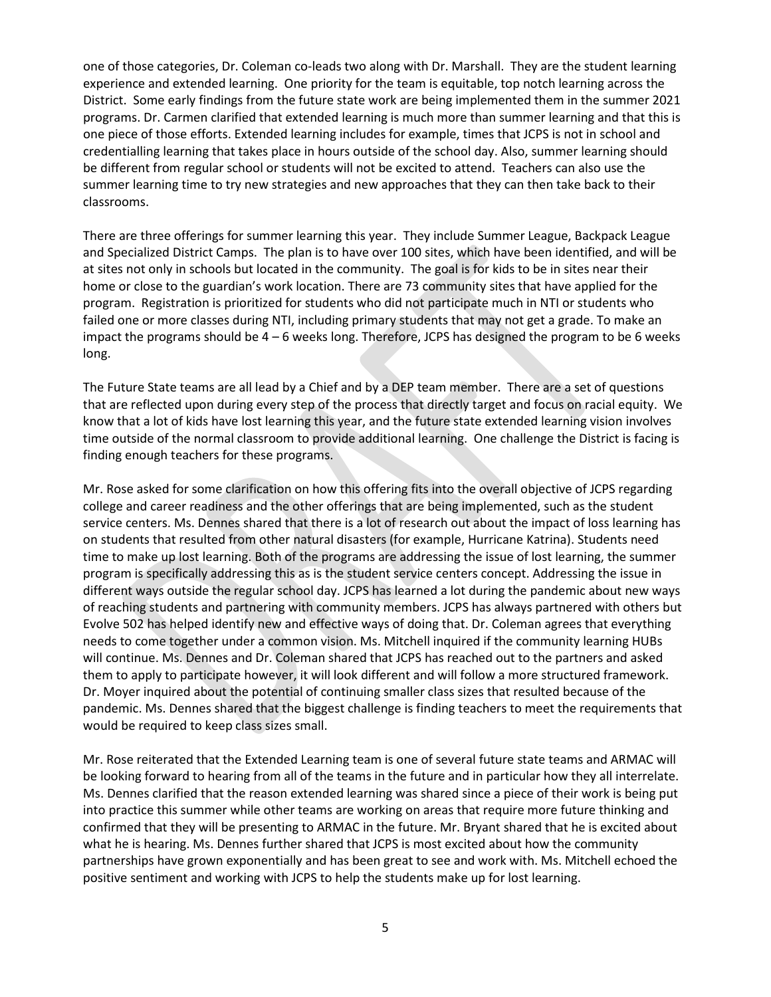one of those categories, Dr. Coleman co-leads two along with Dr. Marshall. They are the student learning experience and extended learning. One priority for the team is equitable, top notch learning across the District. Some early findings from the future state work are being implemented them in the summer 2021 programs. Dr. Carmen clarified that extended learning is much more than summer learning and that this is one piece of those efforts. Extended learning includes for example, times that JCPS is not in school and credentialling learning that takes place in hours outside of the school day. Also, summer learning should be different from regular school or students will not be excited to attend. Teachers can also use the summer learning time to try new strategies and new approaches that they can then take back to their classrooms.

There are three offerings for summer learning this year. They include Summer League, Backpack League and Specialized District Camps. The plan is to have over 100 sites, which have been identified, and will be at sites not only in schools but located in the community. The goal is for kids to be in sites near their home or close to the guardian's work location. There are 73 community sites that have applied for the program. Registration is prioritized for students who did not participate much in NTI or students who failed one or more classes during NTI, including primary students that may not get a grade. To make an impact the programs should be 4 – 6 weeks long. Therefore, JCPS has designed the program to be 6 weeks long.

The Future State teams are all lead by a Chief and by a DEP team member. There are a set of questions that are reflected upon during every step of the process that directly target and focus on racial equity. We know that a lot of kids have lost learning this year, and the future state extended learning vision involves time outside of the normal classroom to provide additional learning. One challenge the District is facing is finding enough teachers for these programs.

Mr. Rose asked for some clarification on how this offering fits into the overall objective of JCPS regarding college and career readiness and the other offerings that are being implemented, such as the student service centers. Ms. Dennes shared that there is a lot of research out about the impact of loss learning has on students that resulted from other natural disasters (for example, Hurricane Katrina). Students need time to make up lost learning. Both of the programs are addressing the issue of lost learning, the summer program is specifically addressing this as is the student service centers concept. Addressing the issue in different ways outside the regular school day. JCPS has learned a lot during the pandemic about new ways of reaching students and partnering with community members. JCPS has always partnered with others but Evolve 502 has helped identify new and effective ways of doing that. Dr. Coleman agrees that everything needs to come together under a common vision. Ms. Mitchell inquired if the community learning HUBs will continue. Ms. Dennes and Dr. Coleman shared that JCPS has reached out to the partners and asked them to apply to participate however, it will look different and will follow a more structured framework. Dr. Moyer inquired about the potential of continuing smaller class sizes that resulted because of the pandemic. Ms. Dennes shared that the biggest challenge is finding teachers to meet the requirements that would be required to keep class sizes small.

Mr. Rose reiterated that the Extended Learning team is one of several future state teams and ARMAC will be looking forward to hearing from all of the teams in the future and in particular how they all interrelate. Ms. Dennes clarified that the reason extended learning was shared since a piece of their work is being put into practice this summer while other teams are working on areas that require more future thinking and confirmed that they will be presenting to ARMAC in the future. Mr. Bryant shared that he is excited about what he is hearing. Ms. Dennes further shared that JCPS is most excited about how the community partnerships have grown exponentially and has been great to see and work with. Ms. Mitchell echoed the positive sentiment and working with JCPS to help the students make up for lost learning.